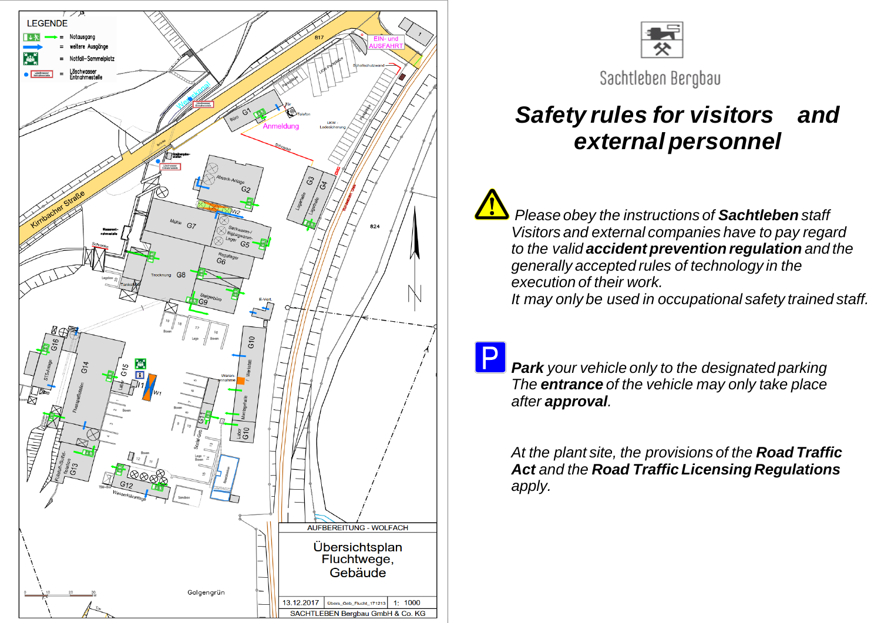



Sachtleben Bergbau

## *Safety rules for visitors and external personnel*

*Please obey the instructions of Sachtleben staff Visitors and external companies have to pay regard to the valid accident prevention regulation and the generally accepted rules of technology in the execution of their work.*

*It may only be used in occupational safety trained staff.*

*Park your vehicle only to the designated parking The entrance of the vehicle may only take place after approval.*

*At the plant site, the provisions of the Road Traffic Act and the Road Traffic Licensing Regulations apply.*